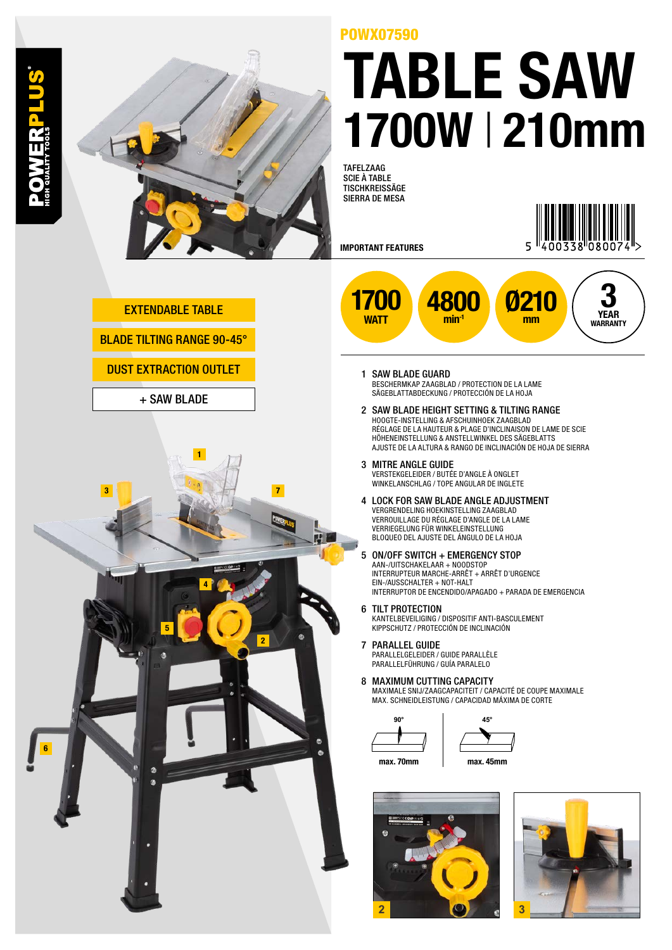

## POWX07590 TABLE SAW 1700W | 210mm

TAFELZAAG SCIE À TABLE TISCHKREISSÄGE SIERRA DE MESA

IMPORTANT FEATURES



**3 YEAR**

EXTENDABLE TABLE

BLADE TILTING RANGE 90-45°

DUST EXTRACTION OUTLET

+ SAW BLADE



- 1700 WAT<sub>T</sub> **WARRANTY** Ø210 mm 480 min<sup>-1</sup>
	- 1 SAW BLADE GUARD BESCHERMKAP ZAAGBLAD / PROTECTION DE LA LAME SÄGEBLATTABDECKUNG / PROTECCIÓN DE LA HOJA
	- 2 SAW BLADE HEIGHT SETTING & TILTING RANGE HOOGTE-INSTELLING & AFSCHUINHOEK ZAAGBLAD RÉGLAGE DE LA HAUTEUR & PLAGE D'INCLINAISON DE LAME DE SCIE HÖHENEINSTELLUNG & ANSTELLWINKEL DES SÄGEBLATTS AJUSTE DE LA ALTURA & RANGO DE INCLINACIÓN DE HOJA DE SIERRA
	- 3 MITRE ANGLE GUIDE VERSTEKGELEIDER / BUTÉE D'ANGLE À ONGLET WINKELANSCHLAG / TOPE ANGULAR DE INGLETE
	- 4 LOCK FOR SAW BLADE ANGLE ADJUSTMENT VERGRENDELING HOEKINSTELLING ZAAGBLAD VERROUILLAGE DU RÉGLAGE D'ANGLE DE LA LAME VERRIEGELUNG FÜR WINKELEINSTELLUNG BLOQUEO DEL AJUSTE DEL ÁNGULO DE LA HOJA
	- 5 ON/OFF SWITCH + EMERGENCY STOP AAN-/UITSCHAKELAAR + NOODSTOP INTERRUPTEUR MARCHE-ARRÊT + ARRÊT D'URGENCE EIN-/AUSSCHALTER + NOT-HALT INTERRUPTOR DE ENCENDIDO/APAGADO + PARADA DE EMERGENCIA
	- 6 TILT PROTECTION KANTELBEVEILIGING / DISPOSITIF ANTI-BASCULEMENT KIPPSCHUTZ / PROTECCIÓN DE INCLINACIÓN
	- 7 PARALLEL GUIDE PARALLELGELEIDER / GUIDE PARALLÈLE PARALLELFÜHRUNG / GUÍA PARALELO
	- 8 MAXIMUM CUTTING CAPACITY MAXIMALE SNIJ/ZAAGCAPACITEIT / CAPACITÉ DE COUPE MAXIMALE MAX. SCHNEIDLEISTUNG / CAPACIDAD MÁXIMA DE CORTE

**90°**



max. 70mm

max. 45mm